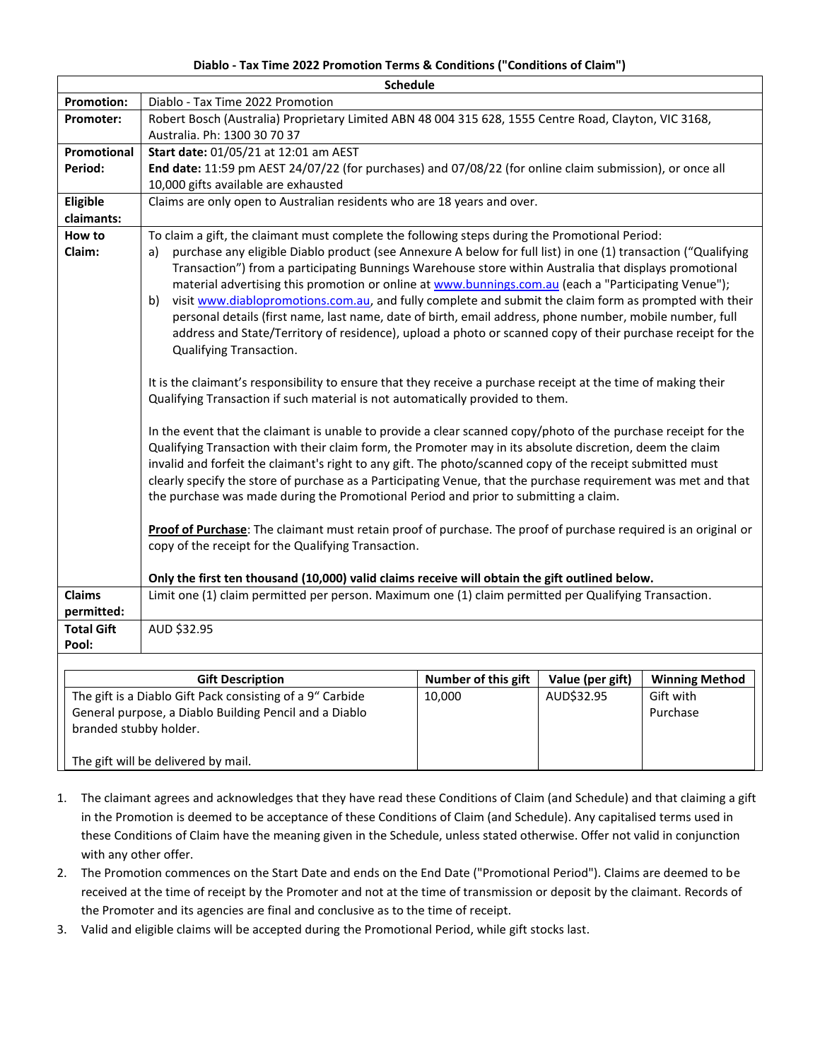## **Diablo - Tax Time 2022 Promotion Terms & Conditions ("Conditions of Claim")**

|                   | <b>Schedule</b>                                                                                                     |                            |                  |                       |  |
|-------------------|---------------------------------------------------------------------------------------------------------------------|----------------------------|------------------|-----------------------|--|
| <b>Promotion:</b> | Diablo - Tax Time 2022 Promotion                                                                                    |                            |                  |                       |  |
| Promoter:         | Robert Bosch (Australia) Proprietary Limited ABN 48 004 315 628, 1555 Centre Road, Clayton, VIC 3168,               |                            |                  |                       |  |
|                   | Australia. Ph: 1300 30 70 37                                                                                        |                            |                  |                       |  |
| Promotional       | Start date: 01/05/21 at 12:01 am AEST                                                                               |                            |                  |                       |  |
| Period:           | End date: 11:59 pm AEST 24/07/22 (for purchases) and 07/08/22 (for online claim submission), or once all            |                            |                  |                       |  |
|                   | 10,000 gifts available are exhausted                                                                                |                            |                  |                       |  |
| Eligible          | Claims are only open to Australian residents who are 18 years and over.                                             |                            |                  |                       |  |
| claimants:        |                                                                                                                     |                            |                  |                       |  |
| How to            | To claim a gift, the claimant must complete the following steps during the Promotional Period:                      |                            |                  |                       |  |
| Claim:            | purchase any eligible Diablo product (see Annexure A below for full list) in one (1) transaction ("Qualifying<br>a) |                            |                  |                       |  |
|                   | Transaction") from a participating Bunnings Warehouse store within Australia that displays promotional              |                            |                  |                       |  |
|                   | material advertising this promotion or online at www.bunnings.com.au (each a "Participating Venue");                |                            |                  |                       |  |
|                   | visit www.diablopromotions.com.au, and fully complete and submit the claim form as prompted with their<br>b)        |                            |                  |                       |  |
|                   | personal details (first name, last name, date of birth, email address, phone number, mobile number, full            |                            |                  |                       |  |
|                   | address and State/Territory of residence), upload a photo or scanned copy of their purchase receipt for the         |                            |                  |                       |  |
|                   | Qualifying Transaction.                                                                                             |                            |                  |                       |  |
|                   |                                                                                                                     |                            |                  |                       |  |
|                   | It is the claimant's responsibility to ensure that they receive a purchase receipt at the time of making their      |                            |                  |                       |  |
|                   | Qualifying Transaction if such material is not automatically provided to them.                                      |                            |                  |                       |  |
|                   | In the event that the claimant is unable to provide a clear scanned copy/photo of the purchase receipt for the      |                            |                  |                       |  |
|                   | Qualifying Transaction with their claim form, the Promoter may in its absolute discretion, deem the claim           |                            |                  |                       |  |
|                   | invalid and forfeit the claimant's right to any gift. The photo/scanned copy of the receipt submitted must          |                            |                  |                       |  |
|                   | clearly specify the store of purchase as a Participating Venue, that the purchase requirement was met and that      |                            |                  |                       |  |
|                   | the purchase was made during the Promotional Period and prior to submitting a claim.                                |                            |                  |                       |  |
|                   |                                                                                                                     |                            |                  |                       |  |
|                   | Proof of Purchase: The claimant must retain proof of purchase. The proof of purchase required is an original or     |                            |                  |                       |  |
|                   | copy of the receipt for the Qualifying Transaction.                                                                 |                            |                  |                       |  |
|                   |                                                                                                                     |                            |                  |                       |  |
|                   | Only the first ten thousand (10,000) valid claims receive will obtain the gift outlined below.                      |                            |                  |                       |  |
| <b>Claims</b>     | Limit one (1) claim permitted per person. Maximum one (1) claim permitted per Qualifying Transaction.               |                            |                  |                       |  |
| permitted:        |                                                                                                                     |                            |                  |                       |  |
| <b>Total Gift</b> | AUD \$32.95                                                                                                         |                            |                  |                       |  |
| Pool:             |                                                                                                                     |                            |                  |                       |  |
|                   |                                                                                                                     |                            |                  |                       |  |
|                   | <b>Gift Description</b>                                                                                             | <b>Number of this gift</b> | Value (per gift) | <b>Winning Method</b> |  |

| <b>Gift Description</b>                                   | <b>Number of this gift</b> | Value (per gift) | <b>Winning Method</b> |
|-----------------------------------------------------------|----------------------------|------------------|-----------------------|
| The gift is a Diablo Gift Pack consisting of a 9" Carbide | 10.000                     | AUD\$32.95       | Gift with             |
| General purpose, a Diablo Building Pencil and a Diablo    |                            |                  | Purchase              |
| branded stubby holder.                                    |                            |                  |                       |
|                                                           |                            |                  |                       |
| The gift will be delivered by mail.                       |                            |                  |                       |

- 1. The claimant agrees and acknowledges that they have read these Conditions of Claim (and Schedule) and that claiming a gift in the Promotion is deemed to be acceptance of these Conditions of Claim (and Schedule). Any capitalised terms used in these Conditions of Claim have the meaning given in the Schedule, unless stated otherwise. Offer not valid in conjunction with any other offer.
- 2. The Promotion commences on the Start Date and ends on the End Date ("Promotional Period"). Claims are deemed to be received at the time of receipt by the Promoter and not at the time of transmission or deposit by the claimant. Records of the Promoter and its agencies are final and conclusive as to the time of receipt.
- 3. Valid and eligible claims will be accepted during the Promotional Period, while gift stocks last.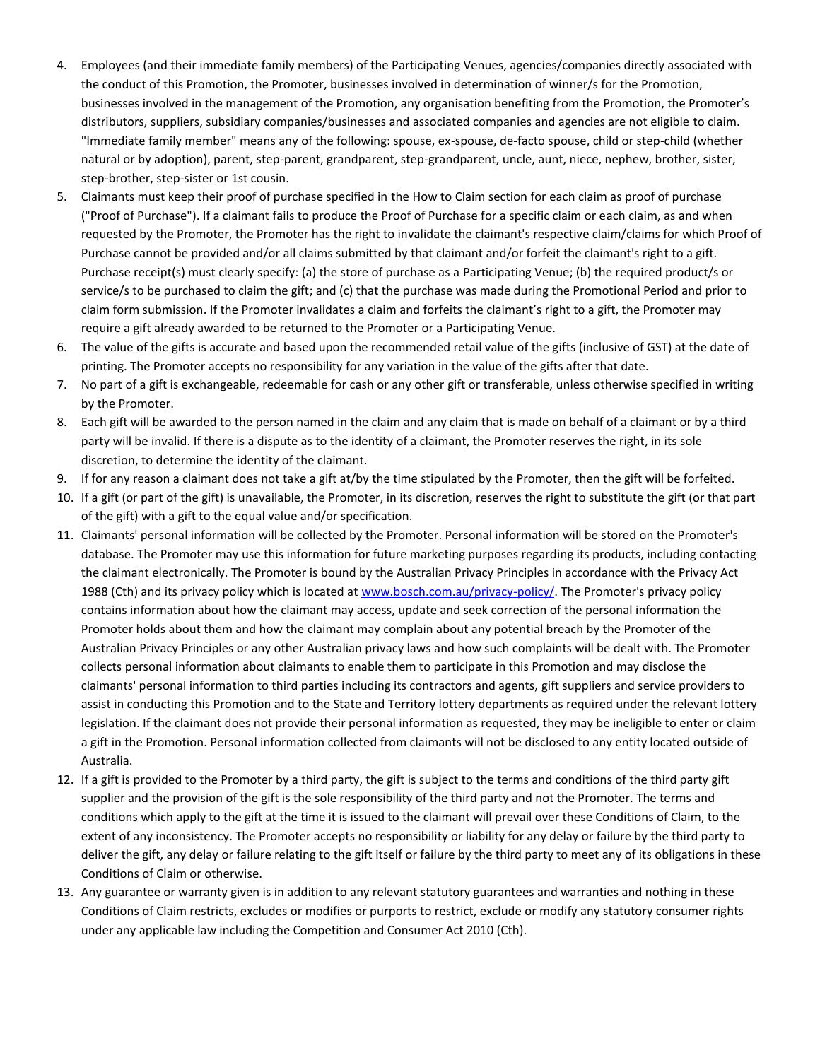- 4. Employees (and their immediate family members) of the Participating Venues, agencies/companies directly associated with the conduct of this Promotion, the Promoter, businesses involved in determination of winner/s for the Promotion, businesses involved in the management of the Promotion, any organisation benefiting from the Promotion, the Promoter's distributors, suppliers, subsidiary companies/businesses and associated companies and agencies are not eligible to claim. "Immediate family member" means any of the following: spouse, ex-spouse, de-facto spouse, child or step-child (whether natural or by adoption), parent, step-parent, grandparent, step-grandparent, uncle, aunt, niece, nephew, brother, sister, step-brother, step-sister or 1st cousin.
- 5. Claimants must keep their proof of purchase specified in the How to Claim section for each claim as proof of purchase ("Proof of Purchase"). If a claimant fails to produce the Proof of Purchase for a specific claim or each claim, as and when requested by the Promoter, the Promoter has the right to invalidate the claimant's respective claim/claims for which Proof of Purchase cannot be provided and/or all claims submitted by that claimant and/or forfeit the claimant's right to a gift. Purchase receipt(s) must clearly specify: (a) the store of purchase as a Participating Venue; (b) the required product/s or service/s to be purchased to claim the gift; and (c) that the purchase was made during the Promotional Period and prior to claim form submission. If the Promoter invalidates a claim and forfeits the claimant's right to a gift, the Promoter may require a gift already awarded to be returned to the Promoter or a Participating Venue.
- 6. The value of the gifts is accurate and based upon the recommended retail value of the gifts (inclusive of GST) at the date of printing. The Promoter accepts no responsibility for any variation in the value of the gifts after that date.
- 7. No part of a gift is exchangeable, redeemable for cash or any other gift or transferable, unless otherwise specified in writing by the Promoter.
- 8. Each gift will be awarded to the person named in the claim and any claim that is made on behalf of a claimant or by a third party will be invalid. If there is a dispute as to the identity of a claimant, the Promoter reserves the right, in its sole discretion, to determine the identity of the claimant.
- 9. If for any reason a claimant does not take a gift at/by the time stipulated by the Promoter, then the gift will be forfeited.
- 10. If a gift (or part of the gift) is unavailable, the Promoter, in its discretion, reserves the right to substitute the gift (or that part of the gift) with a gift to the equal value and/or specification.
- 11. Claimants' personal information will be collected by the Promoter. Personal information will be stored on the Promoter's database. The Promoter may use this information for future marketing purposes regarding its products, including contacting the claimant electronically. The Promoter is bound by the Australian Privacy Principles in accordance with the Privacy Act 1988 (Cth) and its privacy policy which is located at [www.bosch.com.au/privacy-policy/.](http://www.bosch.com.au/privacy-policy/) The Promoter's privacy policy contains information about how the claimant may access, update and seek correction of the personal information the Promoter holds about them and how the claimant may complain about any potential breach by the Promoter of the Australian Privacy Principles or any other Australian privacy laws and how such complaints will be dealt with. The Promoter collects personal information about claimants to enable them to participate in this Promotion and may disclose the claimants' personal information to third parties including its contractors and agents, gift suppliers and service providers to assist in conducting this Promotion and to the State and Territory lottery departments as required under the relevant lottery legislation. If the claimant does not provide their personal information as requested, they may be ineligible to enter or claim a gift in the Promotion. Personal information collected from claimants will not be disclosed to any entity located outside of Australia.
- 12. If a gift is provided to the Promoter by a third party, the gift is subject to the terms and conditions of the third party gift supplier and the provision of the gift is the sole responsibility of the third party and not the Promoter. The terms and conditions which apply to the gift at the time it is issued to the claimant will prevail over these Conditions of Claim, to the extent of any inconsistency. The Promoter accepts no responsibility or liability for any delay or failure by the third party to deliver the gift, any delay or failure relating to the gift itself or failure by the third party to meet any of its obligations in these Conditions of Claim or otherwise.
- 13. Any guarantee or warranty given is in addition to any relevant statutory guarantees and warranties and nothing in these Conditions of Claim restricts, excludes or modifies or purports to restrict, exclude or modify any statutory consumer rights under any applicable law including the Competition and Consumer Act 2010 (Cth).